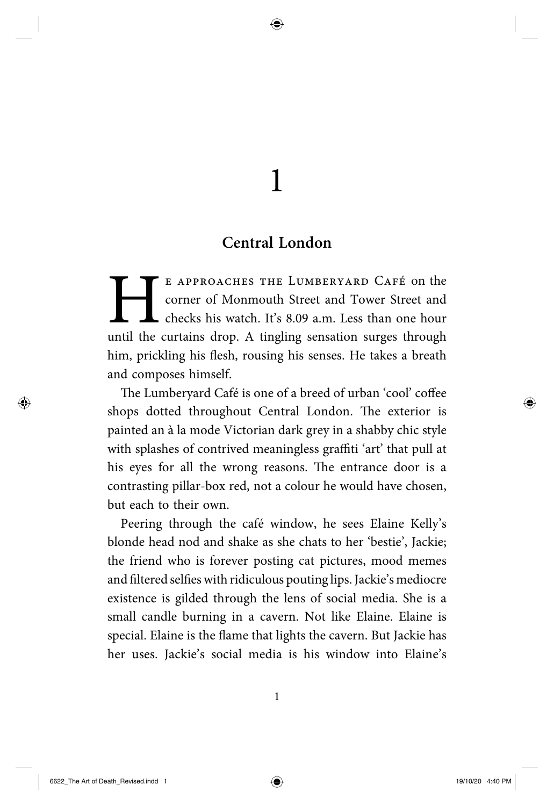## 1

## **Central London**

E APPROACHES THE LUMBERYARD CAFÉ ON the corner of Monmouth Street and Tower Street and checks his watch. It's 8.09 a.m. Less than one hour until the curtains drop. A tingling sensation surges through corner of Monmouth Street and Tower Street and checks his watch. It's 8.09 a.m. Less than one hour until the curtains drop. A tingling sensation surges through him, prickling his flesh, rousing his senses. He takes a breath and composes himself.

The Lumberyard Café is one of a breed of urban 'cool' coffee shops dotted throughout Central London. The exterior is painted an à la mode Victorian dark grey in a shabby chic style with splashes of contrived meaningless graffiti 'art' that pull at his eyes for all the wrong reasons. The entrance door is a contrasting pillar-box red, not a colour he would have chosen, but each to their own.

Peering through the café window, he sees Elaine Kelly's blonde head nod and shake as she chats to her 'bestie', Jackie; the friend who is forever posting cat pictures, mood memes and filtered selfies with ridiculous pouting lips. Jackie's mediocre existence is gilded through the lens of social media. She is a small candle burning in a cavern. Not like Elaine. Elaine is special. Elaine is the flame that lights the cavern. But Jackie has her uses. Jackie's social media is his window into Elaine's

⊕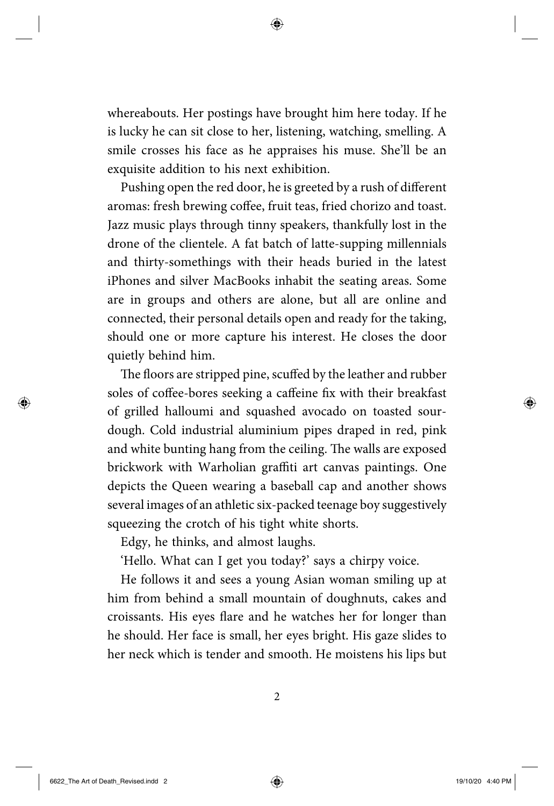whereabouts. Her postings have brought him here today. If he is lucky he can sit close to her, listening, watching, smelling. A smile crosses his face as he appraises his muse. She'll be an exquisite addition to his next exhibition.

◈

Pushing open the red door, he is greeted by a rush of different aromas: fresh brewing coffee, fruit teas, fried chorizo and toast. Jazz music plays through tinny speakers, thankfully lost in the drone of the clientele. A fat batch of latte-supping millennials and thirty-somethings with their heads buried in the latest iPhones and silver MacBooks inhabit the seating areas. Some are in groups and others are alone, but all are online and connected, their personal details open and ready for the taking, should one or more capture his interest. He closes the door quietly behind him.

The floors are stripped pine, scuffed by the leather and rubber soles of coffee-bores seeking a caffeine fix with their breakfast of grilled halloumi and squashed avocado on toasted sourdough. Cold industrial aluminium pipes draped in red, pink and white bunting hang from the ceiling. The walls are exposed brickwork with Warholian graffiti art canvas paintings. One depicts the Queen wearing a baseball cap and another shows several images of an athletic six-packed teenage boy suggestively squeezing the crotch of his tight white shorts.

Edgy, he thinks, and almost laughs.

'Hello. What can I get you today?' says a chirpy voice.

He follows it and sees a young Asian woman smiling up at him from behind a small mountain of doughnuts, cakes and croissants. His eyes flare and he watches her for longer than he should. Her face is small, her eyes bright. His gaze slides to her neck which is tender and smooth. He moistens his lips but

⊕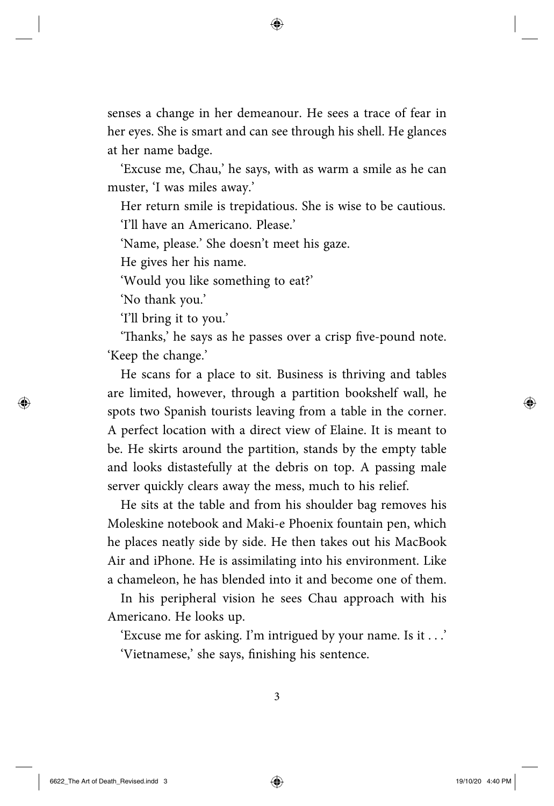senses a change in her demeanour. He sees a trace of fear in her eyes. She is smart and can see through his shell. He glances at her name badge.

◈

'Excuse me, Chau,' he says, with as warm a smile as he can muster, 'I was miles away.'

Her return smile is trepidatious. She is wise to be cautious. 'I'll have an Americano. Please.'

'Name, please.' She doesn't meet his gaze.

He gives her his name.

'Would you like something to eat?'

'No thank you.'

⊕

'I'll bring it to you.'

'Thanks,' he says as he passes over a crisp five-pound note. 'Keep the change.'

He scans for a place to sit. Business is thriving and tables are limited, however, through a partition bookshelf wall, he spots two Spanish tourists leaving from a table in the corner. A perfect location with a direct view of Elaine. It is meant to be. He skirts around the partition, stands by the empty table and looks distastefully at the debris on top. A passing male server quickly clears away the mess, much to his relief.

He sits at the table and from his shoulder bag removes his Moleskine notebook and Maki-e Phoenix fountain pen, which he places neatly side by side. He then takes out his MacBook Air and iPhone. He is assimilating into his environment. Like a chameleon, he has blended into it and become one of them.

In his peripheral vision he sees Chau approach with his Americano. He looks up.

'Excuse me for asking. I'm intrigued by your name. Is it . . .' 'Vietnamese,' she says, finishing his sentence.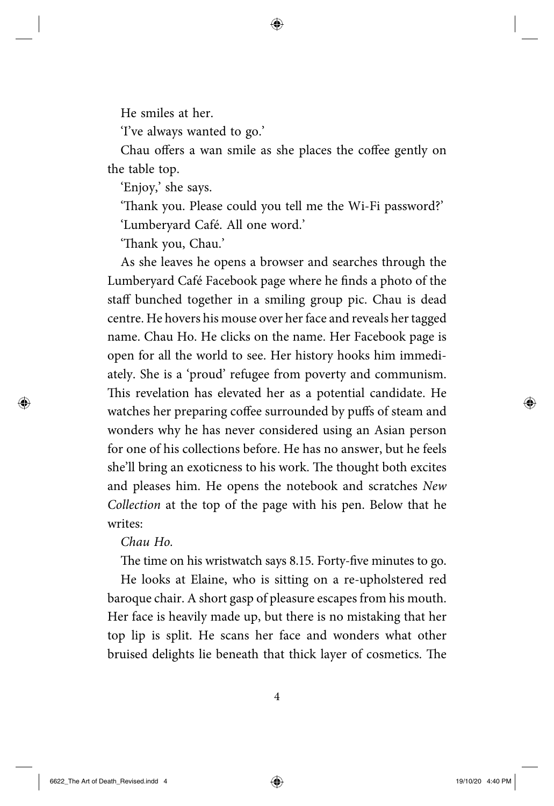He smiles at her.

'I've always wanted to go.'

Chau offers a wan smile as she places the coffee gently on the table top.

◈

'Enjoy,' she says.

'Th ank you. Please could you tell me the Wi-Fi password?' 'Lumberyard Café. All one word.'

'Th ank you, Chau.'

As she leaves he opens a browser and searches through the Lumberyard Café Facebook page where he finds a photo of the staff bunched together in a smiling group pic. Chau is dead centre. He hovers his mouse over her face and reveals her tagged name. Chau Ho. He clicks on the name. Her Facebook page is open for all the world to see. Her history hooks him immediately. She is a 'proud' refugee from poverty and communism. This revelation has elevated her as a potential candidate. He watches her preparing coffee surrounded by puffs of steam and wonders why he has never considered using an Asian person for one of his collections before. He has no answer, but he feels she'll bring an exoticness to his work. The thought both excites and pleases him. He opens the notebook and scratches *New Collection* at the top of the page with his pen. Below that he writes:

## *Chau Ho.*

⊕

The time on his wristwatch says 8.15. Forty-five minutes to go.

He looks at Elaine, who is sitting on a re-upholstered red baroque chair. A short gasp of pleasure escapes from his mouth. Her face is heavily made up, but there is no mistaking that her top lip is split. He scans her face and wonders what other bruised delights lie beneath that thick layer of cosmetics. The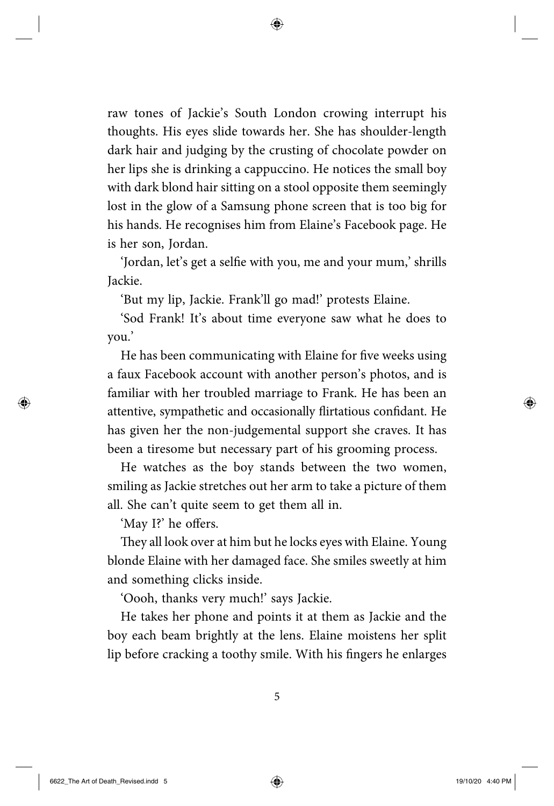raw tones of Jackie's South London crowing interrupt his thoughts. His eyes slide towards her. She has shoulder-length dark hair and judging by the crusting of chocolate powder on her lips she is drinking a cappuccino. He notices the small boy with dark blond hair sitting on a stool opposite them seemingly lost in the glow of a Samsung phone screen that is too big for his hands. He recognises him from Elaine's Facebook page. He is her son, Jordan.

◈

'Jordan, let's get a selfie with you, me and your mum,' shrills Jackie.

'But my lip, Jackie. Frank'll go mad!' protests Elaine.

'Sod Frank! It's about time everyone saw what he does to you.'

He has been communicating with Elaine for five weeks using a faux Facebook account with another person's photos, and is familiar with her troubled marriage to Frank. He has been an attentive, sympathetic and occasionally flirtatious confidant. He has given her the non-judgemental support she craves. It has been a tiresome but necessary part of his grooming process.

He watches as the boy stands between the two women, smiling as Jackie stretches out her arm to take a picture of them all. She can't quite seem to get them all in.

'May I?' he offers.

They all look over at him but he locks eyes with Elaine. Young blonde Elaine with her damaged face. She smiles sweetly at him and something clicks inside.

'Oooh, thanks very much!' says Jackie.

He takes her phone and points it at them as Jackie and the boy each beam brightly at the lens. Elaine moistens her split lip before cracking a toothy smile. With his fingers he enlarges

⊕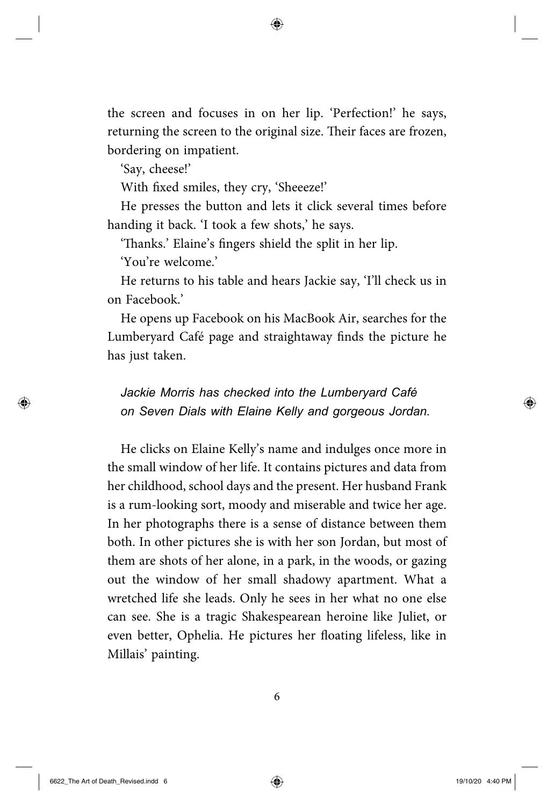the screen and focuses in on her lip. 'Perfection!' he says, returning the screen to the original size. Their faces are frozen, bordering on impatient.

◈

'Say, cheese!'

With fixed smiles, they cry, 'Sheeeze!'

He presses the button and lets it click several times before handing it back. 'I took a few shots,' he says.

'Thanks.' Elaine's fingers shield the split in her lip.

'You're welcome.'

He returns to his table and hears Jackie say, 'I'll check us in on Facebook.'

He opens up Facebook on his MacBook Air, searches for the Lumberyard Café page and straightaway finds the picture he has just taken.

*Jackie Morris has checked into the Lumberyard Café on Seven Dials with Elaine Kelly and gorgeous Jordan.*

He clicks on Elaine Kelly's name and indulges once more in the small window of her life. It contains pictures and data from her childhood, school days and the present. Her husband Frank is a rum-looking sort, moody and miserable and twice her age. In her photographs there is a sense of distance between them both. In other pictures she is with her son Jordan, but most of them are shots of her alone, in a park, in the woods, or gazing out the window of her small shadowy apartment. What a wretched life she leads. Only he sees in her what no one else can see. She is a tragic Shakespearean heroine like Juliet, or even better, Ophelia. He pictures her floating lifeless, like in Millais' painting.

⊕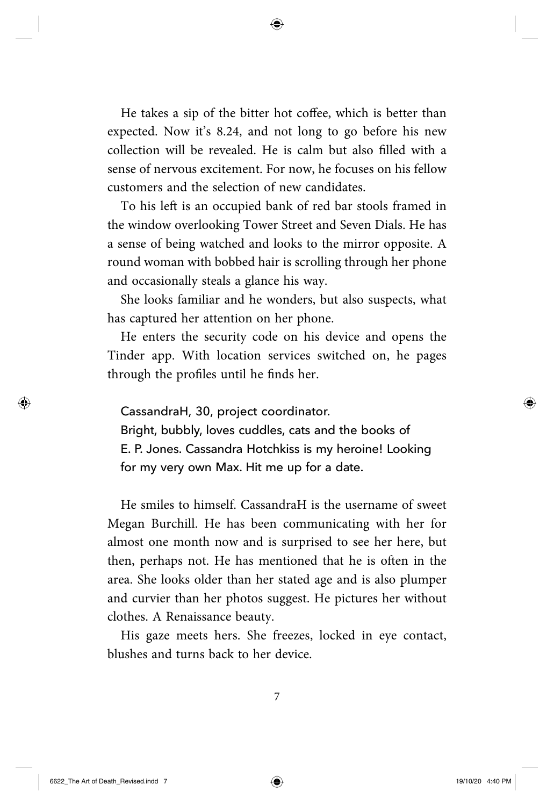He takes a sip of the bitter hot coffee, which is better than expected. Now it's 8.24, and not long to go before his new collection will be revealed. He is calm but also filled with a sense of nervous excitement. For now, he focuses on his fellow customers and the selection of new candidates.

⊕

To his left is an occupied bank of red bar stools framed in the window overlooking Tower Street and Seven Dials. He has a sense of being watched and looks to the mirror opposite. A round woman with bobbed hair is scrolling through her phone and occasionally steals a glance his way.

She looks familiar and he wonders, but also suspects, what has captured her attention on her phone.

He enters the security code on his device and opens the Tinder app. With location services switched on, he pages through the profiles until he finds her.

CassandraH, 30, project coordinator.

Bright, bubbly, loves cuddles, cats and the books of E. P. Jones. Cassandra Hotchkiss is my heroine! Looking for my very own Max. Hit me up for a date.

He smiles to himself. CassandraH is the username of sweet Megan Burchill. He has been communicating with her for almost one month now and is surprised to see her here, but then, perhaps not. He has mentioned that he is often in the area. She looks older than her stated age and is also plumper and curvier than her photos suggest. He pictures her without clothes. A Renaissance beauty.

His gaze meets hers. She freezes, locked in eye contact, blushes and turns back to her device.

⊕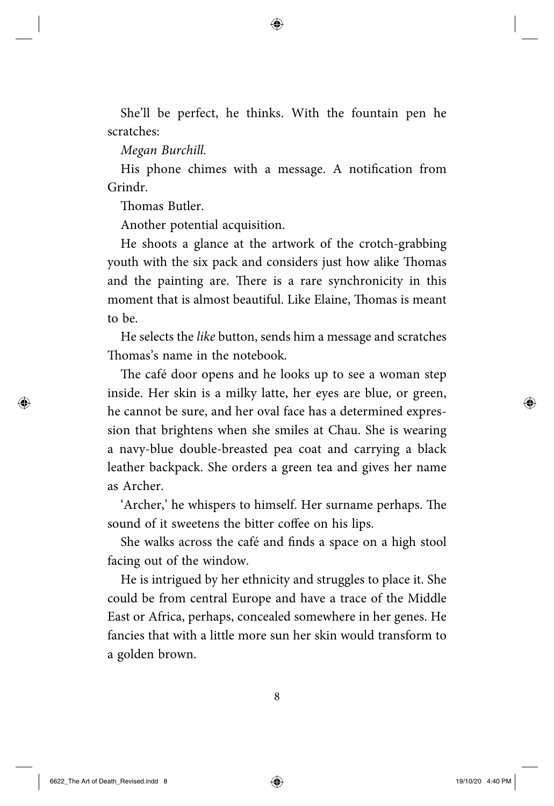She'll be perfect, he thinks. With the fountain pen he scratches:

⊕

*Megan Burchill.*

His phone chimes with a message. A notification from Grindr.

Thomas Butler.

Another potential acquisition.

He shoots a glance at the artwork of the crotch-grabbing youth with the six pack and considers just how alike Thomas and the painting are. There is a rare synchronicity in this moment that is almost beautiful. Like Elaine, Thomas is meant to be.

He selects the *like* button, sends him a message and scratches Thomas's name in the notebook.

The café door opens and he looks up to see a woman step inside. Her skin is a milky latte, her eyes are blue, or green, he cannot be sure, and her oval face has a determined expression that brightens when she smiles at Chau. She is wearing a navy-blue double-breasted pea coat and carrying a black leather backpack. She orders a green tea and gives her name as Archer.

'Archer,' he whispers to himself. Her surname perhaps. The sound of it sweetens the bitter coffee on his lips.

She walks across the café and finds a space on a high stool facing out of the window.

He is intrigued by her ethnicity and struggles to place it. She could be from central Europe and have a trace of the Middle East or Africa, perhaps, concealed somewhere in her genes. He fancies that with a little more sun her skin would transform to a golden brown.

⊕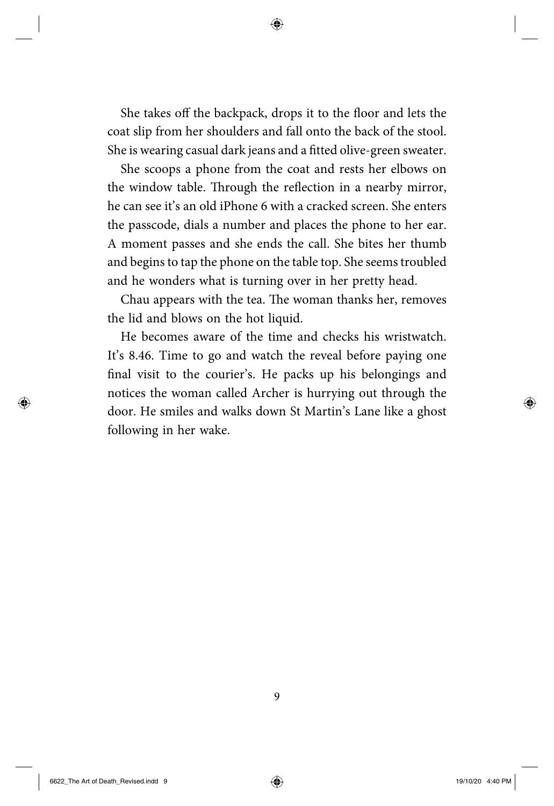She takes off the backpack, drops it to the floor and lets the coat slip from her shoulders and fall onto the back of the stool. She is wearing casual dark jeans and a fi tted olive-green sweater.

◈

She scoops a phone from the coat and rests her elbows on the window table. Through the reflection in a nearby mirror, he can see it's an old iPhone 6 with a cracked screen. She enters the passcode, dials a number and places the phone to her ear. A moment passes and she ends the call. She bites her thumb and begins to tap the phone on the table top. She seems troubled and he wonders what is turning over in her pretty head.

Chau appears with the tea. The woman thanks her, removes the lid and blows on the hot liquid.

He becomes aware of the time and checks his wristwatch. It's 8.46. Time to go and watch the reveal before paying one final visit to the courier's. He packs up his belongings and notices the woman called Archer is hurrying out through the door. He smiles and walks down St Martin's Lane like a ghost following in her wake.

⊕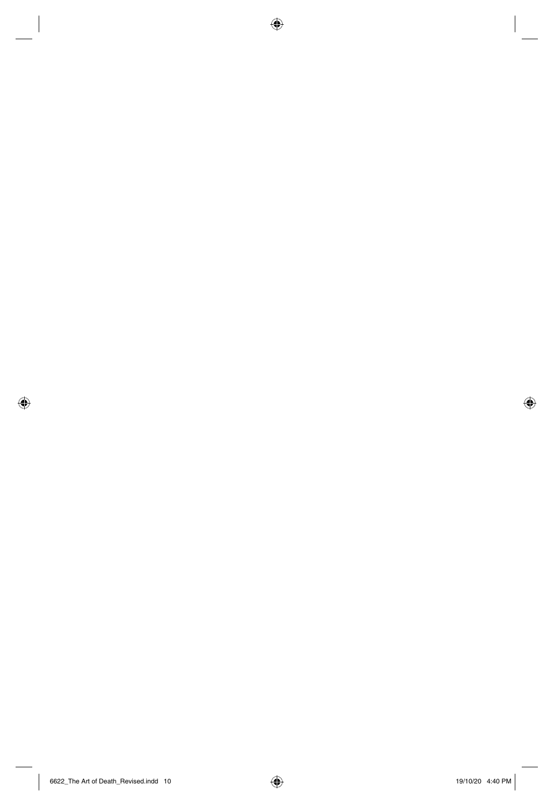

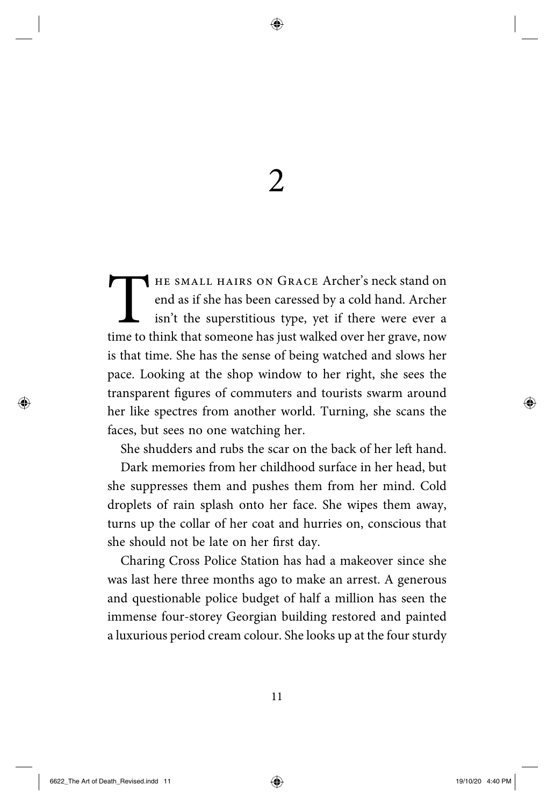◈

THE SMALL HAIRS ON GRACE Archer's neck stand on<br>end as if she has been caressed by a cold hand. Archer<br>isn't the superstitious type, yet if there were ever a<br>time to think that someone has just walked over her grave, now end as if she has been caressed by a cold hand. Archer isn't the superstitious type, yet if there were ever a time to think that someone has just walked over her grave, now is that time. She has the sense of being watched and slows her pace. Looking at the shop window to her right, she sees the transparent figures of commuters and tourists swarm around her like spectres from another world. Turning, she scans the faces, but sees no one watching her.

She shudders and rubs the scar on the back of her left hand. Dark memories from her childhood surface in her head, but she suppresses them and pushes them from her mind. Cold droplets of rain splash onto her face. She wipes them away, turns up the collar of her coat and hurries on, conscious that she should not be late on her first day.

Charing Cross Police Station has had a makeover since she was last here three months ago to make an arrest. A generous and questionable police budget of half a million has seen the immense four-storey Georgian building restored and painted a luxurious period cream colour. She looks up at the four sturdy

⊕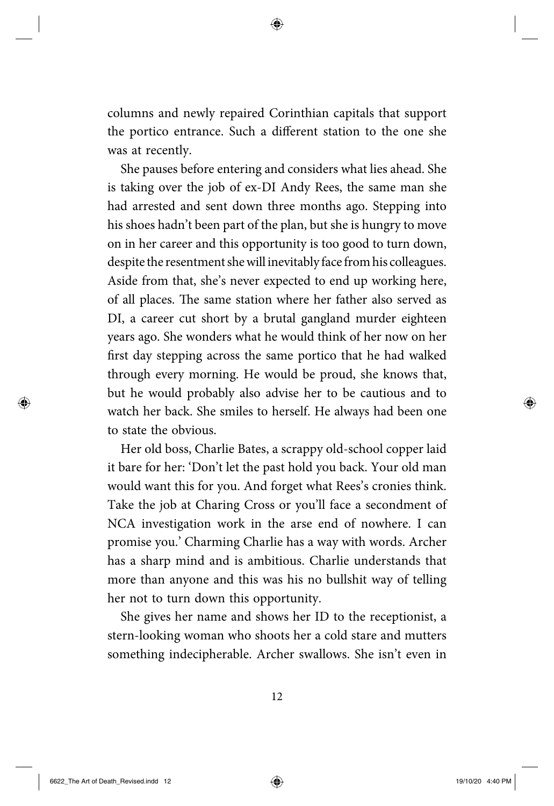columns and newly repaired Corinthian capitals that support the portico entrance. Such a different station to the one she was at recently.

◈

She pauses before entering and considers what lies ahead. She is taking over the job of ex-DI Andy Rees, the same man she had arrested and sent down three months ago. Stepping into his shoes hadn't been part of the plan, but she is hungry to move on in her career and this opportunity is too good to turn down, despite the resentment she will inevitably face from his colleagues. Aside from that, she's never expected to end up working here, of all places. The same station where her father also served as DI, a career cut short by a brutal gangland murder eighteen years ago. She wonders what he would think of her now on her first day stepping across the same portico that he had walked through every morning. He would be proud, she knows that, but he would probably also advise her to be cautious and to watch her back. She smiles to herself. He always had been one to state the obvious.

Her old boss, Charlie Bates, a scrappy old-school copper laid it bare for her: 'Don't let the past hold you back. Your old man would want this for you. And forget what Rees's cronies think. Take the job at Charing Cross or you'll face a secondment of NCA investigation work in the arse end of nowhere. I can promise you.' Charming Charlie has a way with words. Archer has a sharp mind and is ambitious. Charlie understands that more than anyone and this was his no bullshit way of telling her not to turn down this opportunity.

She gives her name and shows her ID to the receptionist, a stern-looking woman who shoots her a cold stare and mutters something indecipherable. Archer swallows. She isn't even in

⊕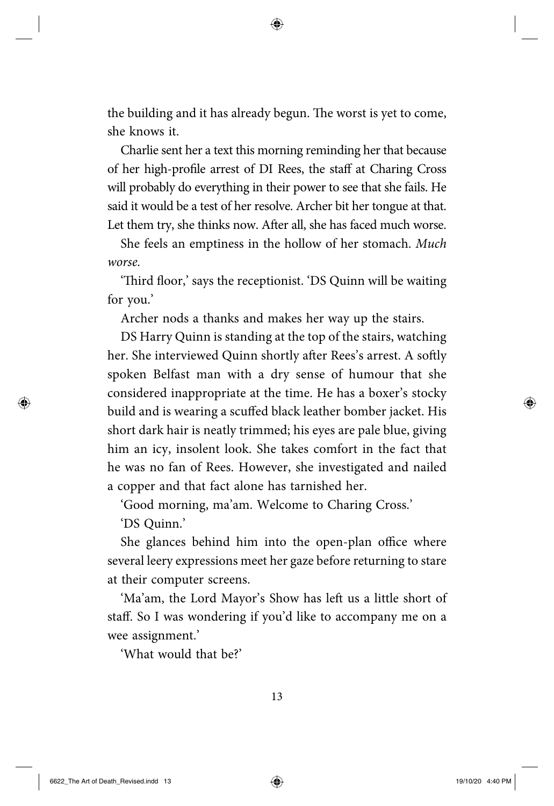the building and it has already begun. The worst is yet to come, she knows it.

◈

Charlie sent her a text this morning reminding her that because of her high-profile arrest of DI Rees, the staff at Charing Cross will probably do everything in their power to see that she fails. He said it would be a test of her resolve. Archer bit her tongue at that. Let them try, she thinks now. After all, she has faced much worse.

She feels an emptiness in the hollow of her stomach. *Much worse.*

'Third floor,' says the receptionist. 'DS Quinn will be waiting for you.'

Archer nods a thanks and makes her way up the stairs.

DS Harry Quinn is standing at the top of the stairs, watching her. She interviewed Quinn shortly after Rees's arrest. A softly spoken Belfast man with a dry sense of humour that she considered inappropriate at the time. He has a boxer's stocky build and is wearing a scuffed black leather bomber jacket. His short dark hair is neatly trimmed; his eyes are pale blue, giving him an icy, insolent look. She takes comfort in the fact that he was no fan of Rees. However, she investigated and nailed a copper and that fact alone has tarnished her.

'Good morning, ma'am. Welcome to Charing Cross.'

'DS Quinn.'

⊕

She glances behind him into the open-plan office where several leery expressions meet her gaze before returning to stare at their computer screens.

'Ma'am, the Lord Mayor's Show has left us a little short of staff. So I was wondering if you'd like to accompany me on a wee assignment.'

'What would that be?'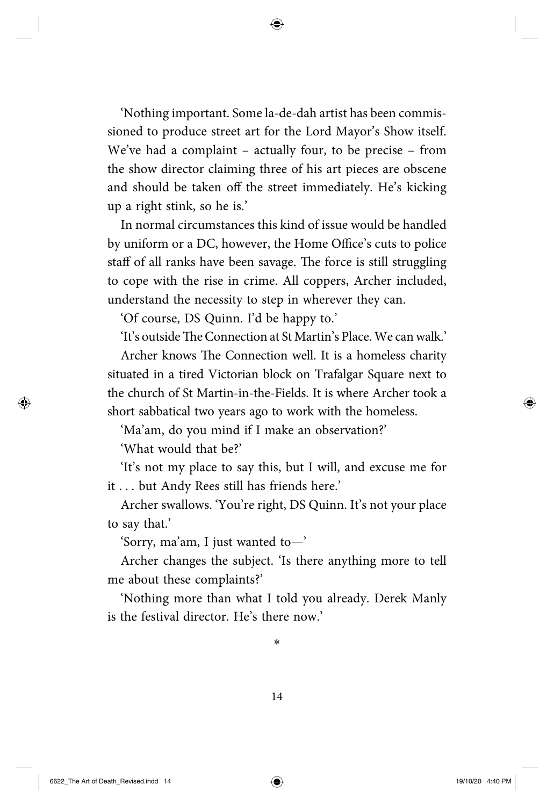'Nothing important. Some la-de-dah artist has been commissioned to produce street art for the Lord Mayor's Show itself. We've had a complaint – actually four, to be precise – from the show director claiming three of his art pieces are obscene and should be taken off the street immediately. He's kicking up a right stink, so he is.'

◈

In normal circumstances this kind of issue would be handled by uniform or a DC, however, the Home Office's cuts to police staff of all ranks have been savage. The force is still struggling to cope with the rise in crime. All coppers, Archer included, understand the necessity to step in wherever they can.

'Of course, DS Quinn. I'd be happy to.'

'It's outside The Connection at St Martin's Place. We can walk.'

Archer knows The Connection well. It is a homeless charity situated in a tired Victorian block on Trafalgar Square next to the church of St Martin-in-the-Fields. It is where Archer took a short sabbatical two years ago to work with the homeless.

'Ma'am, do you mind if I make an observation?' 'What would that be?'

'It's not my place to say this, but I will, and excuse me for it . . . but Andy Rees still has friends here.'

Archer swallows. 'You're right, DS Quinn. It's not your place to say that.'

'Sorry, ma'am, I just wanted to—'

Archer changes the subject. 'Is there anything more to tell me about these complaints?'

'Nothing more than what I told you already. Derek Manly is the festival director. He's there now.'

\*

⊕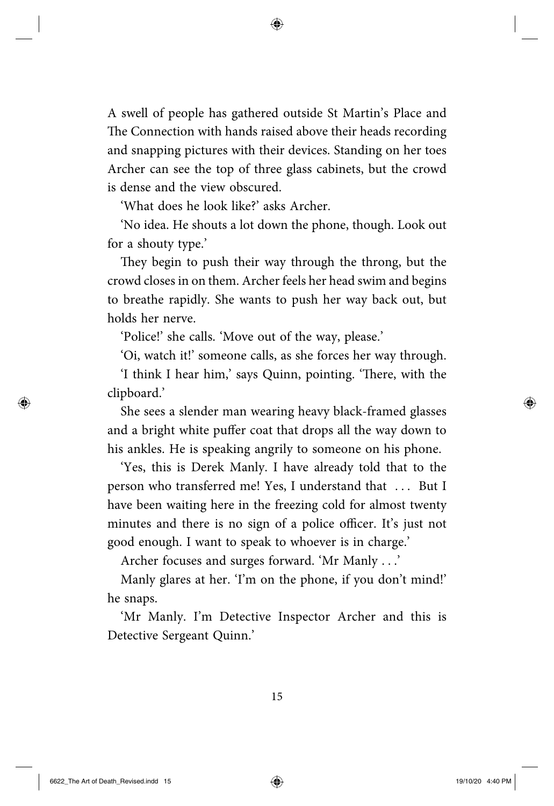A swell of people has gathered outside St Martin's Place and The Connection with hands raised above their heads recording and snapping pictures with their devices. Standing on her toes Archer can see the top of three glass cabinets, but the crowd is dense and the view obscured.

◈

'What does he look like?' asks Archer.

'No idea. He shouts a lot down the phone, though. Look out for a shouty type.'

They begin to push their way through the throng, but the crowd closes in on them. Archer feels her head swim and begins to breathe rapidly. She wants to push her way back out, but holds her nerve.

'Police!' she calls. 'Move out of the way, please.'

'Oi, watch it!' someone calls, as she forces her way through.

'I think I hear him,' says Quinn, pointing. 'There, with the clipboard.'

She sees a slender man wearing heavy black-framed glasses and a bright white puffer coat that drops all the way down to his ankles. He is speaking angrily to someone on his phone.

'Yes, this is Derek Manly. I have already told that to the person who transferred me! Yes, I understand that . . . But I have been waiting here in the freezing cold for almost twenty minutes and there is no sign of a police officer. It's just not good enough. I want to speak to whoever is in charge.'

Archer focuses and surges forward. 'Mr Manly . . .'

Manly glares at her. 'I'm on the phone, if you don't mind!' he snaps.

'Mr Manly. I'm Detective Inspector Archer and this is Detective Sergeant Quinn.'

⊕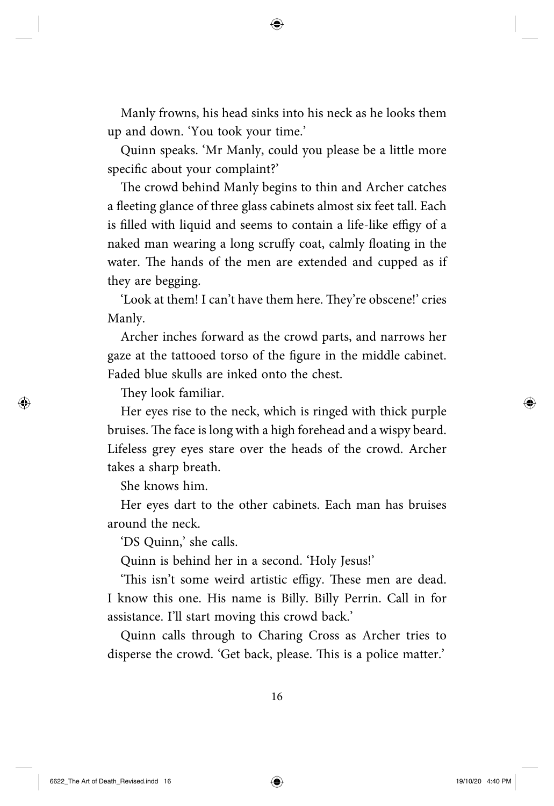Manly frowns, his head sinks into his neck as he looks them up and down. 'You took your time.'

◈

Quinn speaks. 'Mr Manly, could you please be a little more specific about your complaint?'

The crowd behind Manly begins to thin and Archer catches a fleeting glance of three glass cabinets almost six feet tall. Each is filled with liquid and seems to contain a life-like effigy of a naked man wearing a long scruffy coat, calmly floating in the water. The hands of the men are extended and cupped as if they are begging.

'Look at them! I can't have them here. They're obscene!' cries Manly.

Archer inches forward as the crowd parts, and narrows her gaze at the tattooed torso of the figure in the middle cabinet. Faded blue skulls are inked onto the chest.

They look familiar.

⊕

Her eyes rise to the neck, which is ringed with thick purple bruises. The face is long with a high forehead and a wispy beard. Lifeless grey eyes stare over the heads of the crowd. Archer takes a sharp breath.

She knows him.

Her eyes dart to the other cabinets. Each man has bruises around the neck.

'DS Quinn,' she calls.

Quinn is behind her in a second. 'Holy Jesus!'

'This isn't some weird artistic effigy. These men are dead. I know this one. His name is Billy. Billy Perrin. Call in for assistance. I'll start moving this crowd back.'

Quinn calls through to Charing Cross as Archer tries to disperse the crowd. 'Get back, please. This is a police matter.'

 $\bigcirc$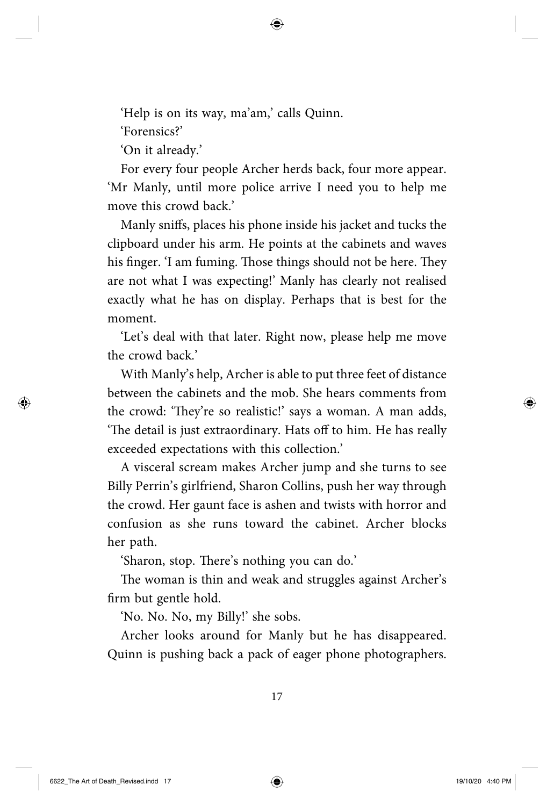'Help is on its way, ma'am,' calls Quinn.

'Forensics?'

'On it already.'

For every four people Archer herds back, four more appear. 'Mr Manly, until more police arrive I need you to help me move this crowd back.'

◈

Manly sniffs, places his phone inside his jacket and tucks the clipboard under his arm. He points at the cabinets and waves his finger. 'I am fuming. Those things should not be here. They are not what I was expecting!' Manly has clearly not realised exactly what he has on display. Perhaps that is best for the moment.

'Let's deal with that later. Right now, please help me move the crowd back.'

With Manly's help, Archer is able to put three feet of distance between the cabinets and the mob. She hears comments from the crowd: 'They're so realistic!' says a woman. A man adds, "The detail is just extraordinary. Hats off to him. He has really exceeded expectations with this collection.'

A visceral scream makes Archer jump and she turns to see Billy Perrin's girlfriend, Sharon Collins, push her way through the crowd. Her gaunt face is ashen and twists with horror and confusion as she runs toward the cabinet. Archer blocks her path.

'Sharon, stop. There's nothing you can do.'

The woman is thin and weak and struggles against Archer's firm but gentle hold.

'No. No. No, my Billy!' she sobs.

Archer looks around for Manly but he has disappeared. Quinn is pushing back a pack of eager phone photographers.

 $\bigcirc$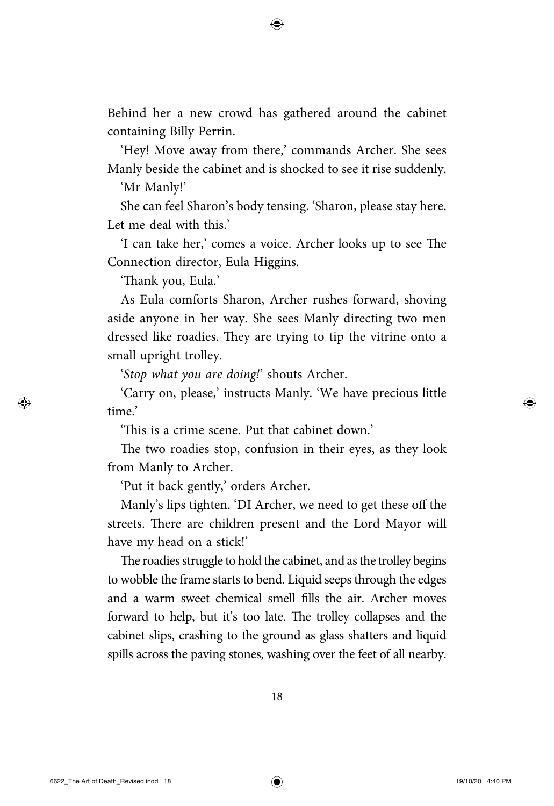Behind her a new crowd has gathered around the cabinet containing Billy Perrin.

◈

'Hey! Move away from there,' commands Archer. She sees Manly beside the cabinet and is shocked to see it rise suddenly.

'Mr Manly!'

She can feel Sharon's body tensing. 'Sharon, please stay here. Let me deal with this.'

'I can take her,' comes a voice. Archer looks up to see The Connection director, Eula Higgins.

'Thank you, Eula.'

As Eula comforts Sharon, Archer rushes forward, shoving aside anyone in her way. She sees Manly directing two men dressed like roadies. They are trying to tip the vitrine onto a small upright trolley.

'*Stop what you are doing!* ' shouts Archer.

'Carry on, please,' instructs Manly. 'We have precious little time.'

"This is a crime scene. Put that cabinet down."

The two roadies stop, confusion in their eyes, as they look from Manly to Archer.

'Put it back gently,' orders Archer.

Manly's lips tighten. 'DI Archer, we need to get these off the streets. There are children present and the Lord Mayor will have my head on a stick!'

The roadies struggle to hold the cabinet, and as the trolley begins to wobble the frame starts to bend. Liquid seeps through the edges and a warm sweet chemical smell fills the air. Archer moves forward to help, but it's too late. The trolley collapses and the cabinet slips, crashing to the ground as glass shatters and liquid spills across the paving stones, washing over the feet of all nearby.

⊕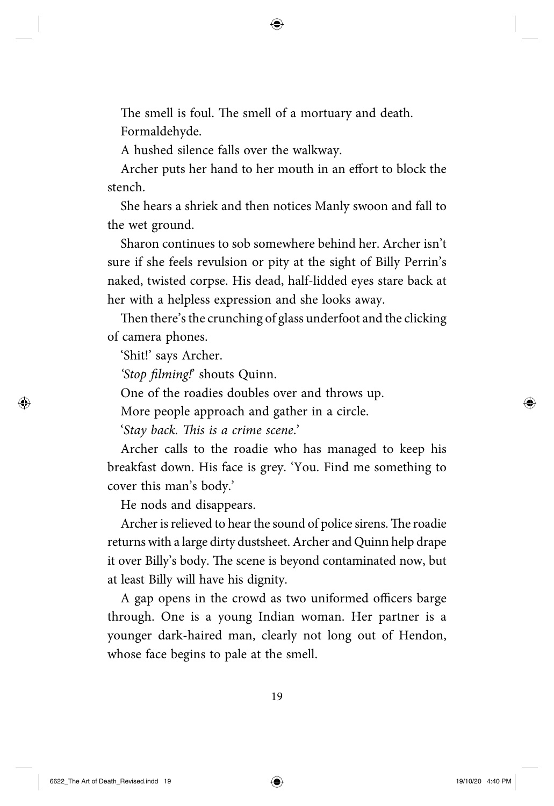The smell is foul. The smell of a mortuary and death.

⊕

Formaldehyde.

A hushed silence falls over the walkway.

Archer puts her hand to her mouth in an effort to block the stench.

She hears a shriek and then notices Manly swoon and fall to the wet ground.

Sharon continues to sob somewhere behind her. Archer isn't sure if she feels revulsion or pity at the sight of Billy Perrin's naked, twisted corpse. His dead, half-lidded eyes stare back at her with a helpless expression and she looks away.

Then there's the crunching of glass underfoot and the clicking of camera phones.

'Shit!' says Archer.

⊕

'Stop filming!' shouts Quinn.

One of the roadies doubles over and throws up.

More people approach and gather in a circle.

'*Stay back. Th is is a crime scene*.'

Archer calls to the roadie who has managed to keep his breakfast down. His face is grey. 'You. Find me something to cover this man's body.'

He nods and disappears.

Archer is relieved to hear the sound of police sirens. The roadie returns with a large dirty dustsheet. Archer and Quinn help drape it over Billy's body. The scene is beyond contaminated now, but at least Billy will have his dignity.

A gap opens in the crowd as two uniformed officers barge through. One is a young Indian woman. Her partner is a younger dark-haired man, clearly not long out of Hendon, whose face begins to pale at the smell.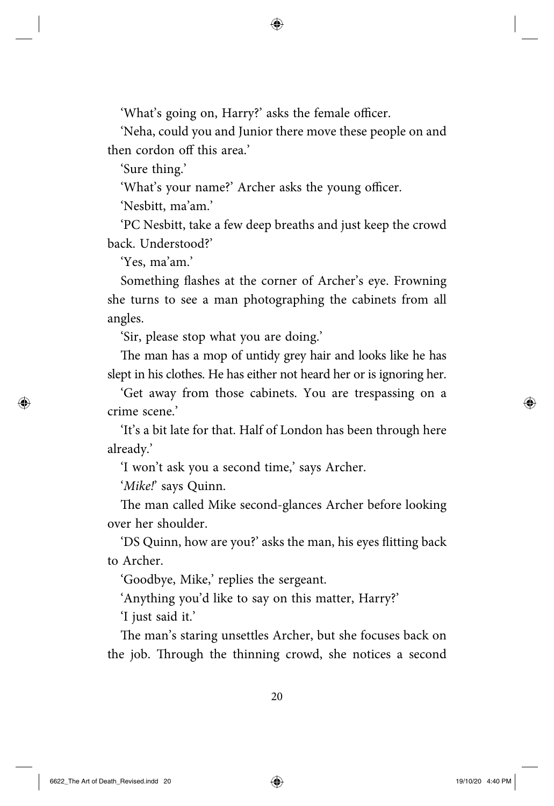'What's going on, Harry?' asks the female officer.

'Neha, could you and Junior there move these people on and then cordon off this area.'

◈

'Sure thing.'

'What's your name?' Archer asks the young officer.

'Nesbitt, ma'am.'

'PC Nesbitt, take a few deep breaths and just keep the crowd back. Understood?'

'Yes, ma'am.'

 $\bigcirc$ 

Something flashes at the corner of Archer's eye. Frowning she turns to see a man photographing the cabinets from all angles.

'Sir, please stop what you are doing.'

The man has a mop of untidy grey hair and looks like he has slept in his clothes. He has either not heard her or is ignoring her.

'Get away from those cabinets. You are trespassing on a crime scene.'

'It's a bit late for that. Half of London has been through here already.'

'I won't ask you a second time,' says Archer.

'*Mike!*' says Quinn.

The man called Mike second-glances Archer before looking over her shoulder.

'DS Quinn, how are you?' asks the man, his eyes flitting back to Archer.

'Goodbye, Mike,' replies the sergeant.

'Anything you'd like to say on this matter, Harry?'

'I just said it.'

The man's staring unsettles Archer, but she focuses back on the job. Through the thinning crowd, she notices a second ↔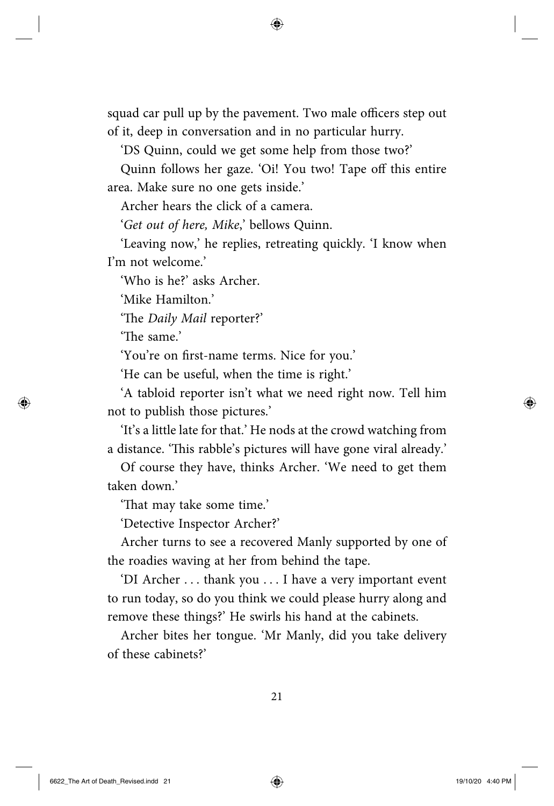squad car pull up by the pavement. Two male officers step out of it, deep in conversation and in no particular hurry.

⊕

'DS Quinn, could we get some help from those two?'

Quinn follows her gaze. 'Oi! You two! Tape off this entire area. Make sure no one gets inside.'

Archer hears the click of a camera.

'*Get out of here, Mike*,' bellows Quinn.

'Leaving now,' he replies, retreating quickly. 'I know when I'm not welcome.'

'Who is he?' asks Archer.

'Mike Hamilton.'

'The *Daily Mail* reporter?'

'The same.'

⊕

'You're on first-name terms. Nice for you.'

'He can be useful, when the time is right.'

'A tabloid reporter isn't what we need right now. Tell him not to publish those pictures.'

'It's a little late for that.' He nods at the crowd watching from a distance. 'This rabble's pictures will have gone viral already.'

Of course they have, thinks Archer. 'We need to get them taken down.'

'That may take some time.'

'Detective Inspector Archer?'

Archer turns to see a recovered Manly supported by one of the roadies waving at her from behind the tape.

'DI Archer . . . thank you . . . I have a very important event to run today, so do you think we could please hurry along and remove these things?' He swirls his hand at the cabinets.

Archer bites her tongue. 'Mr Manly, did you take delivery of these cabinets?'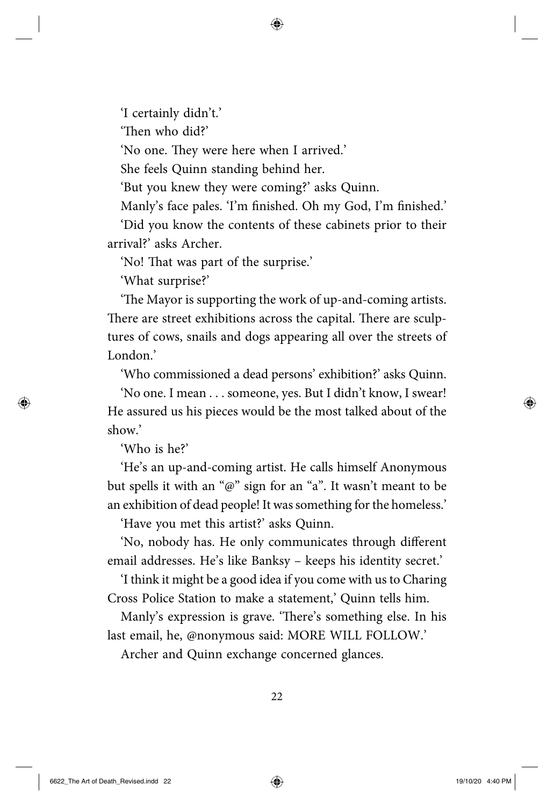'I certainly didn't.'

'Then who did?'

'No one. They were here when I arrived.'

She feels Quinn standing behind her.

'But you knew they were coming?' asks Quinn.

Manly's face pales. 'I'm finished. Oh my God, I'm finished.' 'Did you know the contents of these cabinets prior to their arrival?' asks Archer.

◈

'No! That was part of the surprise.'

'What surprise?'

The Mayor is supporting the work of up-and-coming artists. There are street exhibitions across the capital. There are sculptures of cows, snails and dogs appearing all over the streets of London.'

'Who commissioned a dead persons' exhibition?' asks Quinn.

'No one. I mean . . . someone, yes. But I didn't know, I swear! He assured us his pieces would be the most talked about of the show.'

'Who is he?'

⊕

'He's an up-and-coming artist. He calls himself Anonymous but spells it with an "@" sign for an "a". It wasn't meant to be an exhibition of dead people! It was something for the homeless.'

'Have you met this artist?' asks Quinn.

'No, nobody has. He only communicates through different email addresses. He's like Banksy – keeps his identity secret.'

'I think it might be a good idea if you come with us to Charing Cross Police Station to make a statement,' Quinn tells him.

Manly's expression is grave. 'There's something else. In his last email, he, @nonymous said: MORE WILL FOLLOW.'

Archer and Quinn exchange concerned glances.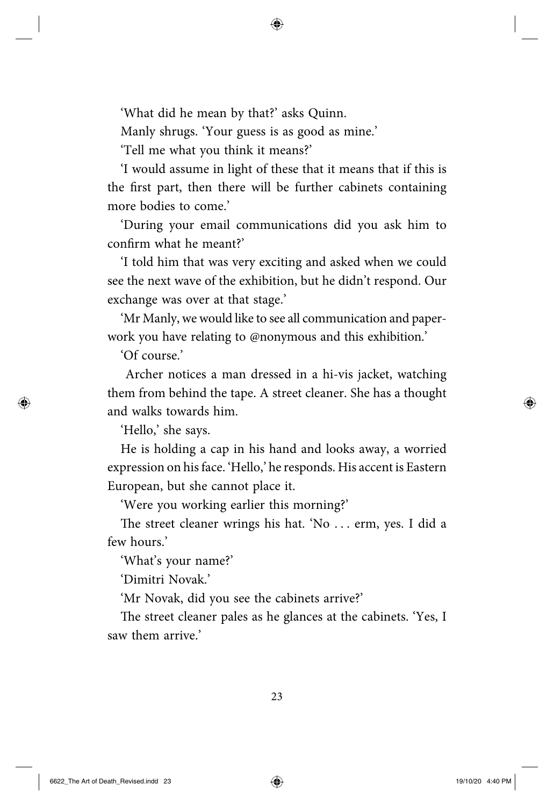'What did he mean by that?' asks Quinn.

Manly shrugs. 'Your guess is as good as mine.'

'Tell me what you think it means?'

'I would assume in light of these that it means that if this is the first part, then there will be further cabinets containing more bodies to come.'

◈

'During your email communications did you ask him to confirm what he meant?'

'I told him that was very exciting and asked when we could see the next wave of the exhibition, but he didn't respond. Our exchange was over at that stage.'

'Mr Manly, we would like to see all communication and paperwork you have relating to @nonymous and this exhibition.'

'Of course.'

⊕

 Archer notices a man dressed in a hi-vis jacket, watching them from behind the tape. A street cleaner. She has a thought and walks towards him.

'Hello,' she says.

He is holding a cap in his hand and looks away, a worried expression on his face. 'Hello,' he responds. His accent is Eastern European, but she cannot place it.

'Were you working earlier this morning?'

The street cleaner wrings his hat. 'No  $\ldots$  erm, yes. I did a few hours.'

'What's your name?'

' Dimitri Novak.'

'Mr Novak, did you see the cabinets arrive?'

The street cleaner pales as he glances at the cabinets. 'Yes, I saw them arrive.'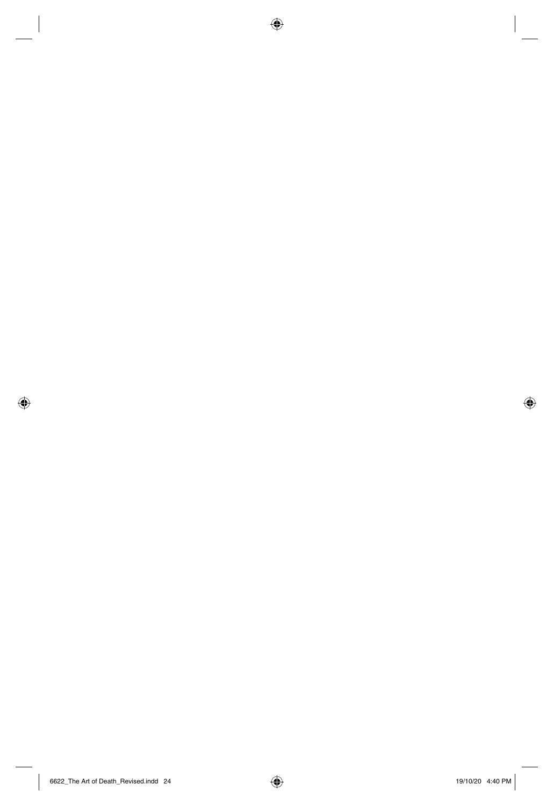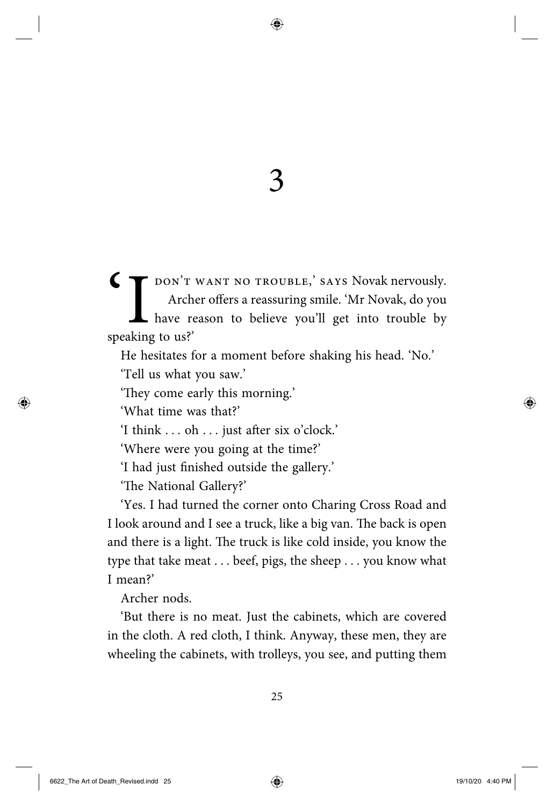3

⊕

 $\begin{array}{l} \begin{array}{c} \bullet \\ \bullet \end{array} \end{array}$  The DON'T WANT NO TROUBLE,' SAYS Novak nervously.<br>Archer offers a reassuring smile. 'Mr Novak, do you<br>have reason to believe you'll get into trouble by<br>speaking to us?' Archer offers a reassuring smile. 'Mr Novak, do you have reason to believe you'll get into trouble by speaking to us?'

He hesitates for a moment before shaking his head. 'No.'

'Tell us what you saw.'

'They come early this morning.'

'What time was that?'

⊕

'I think . . . oh . . . just after six o'clock.'

'Where were you going at the time?'

'I had just finished outside the gallery.'

'The National Gallery?'

'Yes. I had turned the corner onto Charing Cross Road and I look around and I see a truck, like a big van. The back is open and there is a light. The truck is like cold inside, you know the type that take meat . . . beef, pigs, the sheep . . . you know what I mean?'

Archer nods.

'But there is no meat. Just the cabinets, which are covered in the cloth. A red cloth, I think. Anyway, these men, they are wheeling the cabinets, with trolleys, you see, and putting them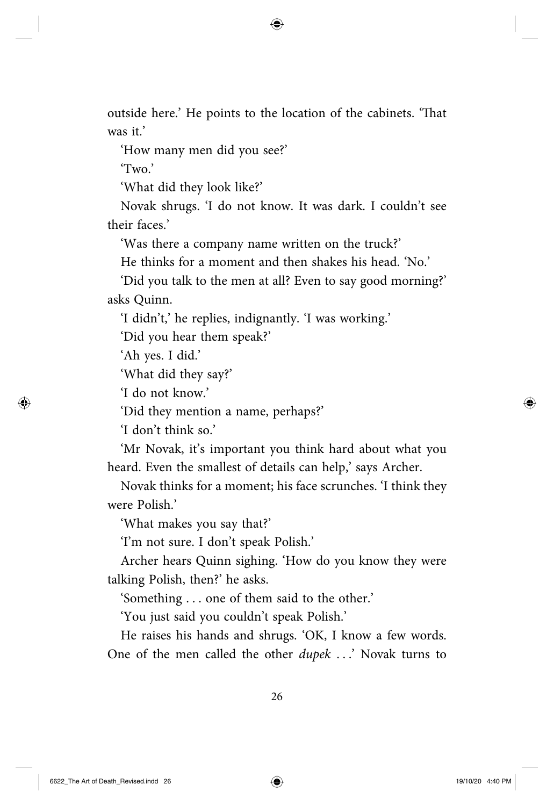outside here.' He points to the location of the cabinets. 'That was it.'

◈

'How many men did you see?'

'Two.'

'What did they look like?'

Novak shrugs. 'I do not know. It was dark. I couldn't see their faces.'

'Was there a company name written on the truck?'

He thinks for a moment and then shakes his head. 'No.'

'Did you talk to the men at all? Even to say good morning?' asks Quinn.

'I didn't,' he replies, indignantly. 'I was working.'

'Did you hear them speak?'

'Ah yes. I did.'

'What did they say?'

'I do not know.'

⊕

'Did they mention a name, perhaps?'

'I don't think so.'

'Mr Novak, it's important you think hard about what you heard. Even the smallest of details can help,' says Archer.

Novak thinks for a moment; his face scrunches. 'I think they were Polish.'

'What makes you say that?'

'I'm not sure. I don't speak Polish.'

Archer hears Quinn sighing. 'How do you know they were talking Polish, then?' he asks.

'Something . . . one of them said to the other.'

'You just said you couldn't speak Polish.'

He raises his hands and shrugs. 'OK, I know a few words. One of the men called the other *dupek* . . .' Novak turns to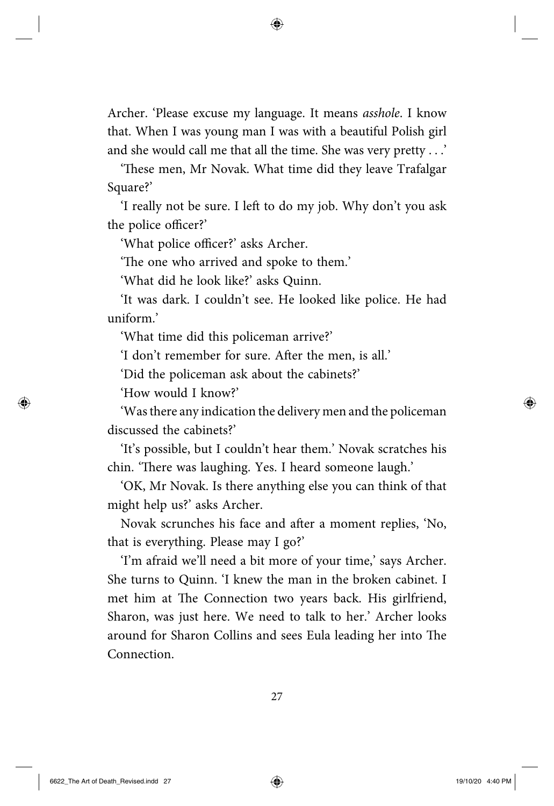Archer. 'Please excuse my language. It means *asshole*. I know that. When I was young man I was with a beautiful Polish girl and she would call me that all the time. She was very pretty . . .'

◈

'These men, Mr Novak. What time did they leave Trafalgar Square?'

'I really not be sure. I left to do my job. Why don't you ask the police officer?'

'What police officer?' asks Archer.

'The one who arrived and spoke to them.'

'What did he look like?' asks Quinn.

'It was dark. I couldn't see. He looked like police. He had uniform.'

'What time did this policeman arrive?'

'I don't remember for sure. After the men, is all.'

'Did the policeman ask about the cabinets?'

'How would I know?'

⊕

'Was there any indication the delivery men and the policeman discussed the cabinets?'

'It's possible, but I couldn't hear them.' Novak scratches his chin. 'There was laughing. Yes. I heard someone laugh.'

'OK, Mr Novak. Is there anything else you can think of that might help us?' asks Archer.

Novak scrunches his face and after a moment replies, 'No, that is everything. Please may I go?'

'I'm afraid we'll need a bit more of your time,' says Archer. She turns to Quinn. 'I knew the man in the broken cabinet. I met him at The Connection two years back. His girlfriend, Sharon, was just here. We need to talk to her.' Archer looks around for Sharon Collins and sees Eula leading her into The Connection.

↔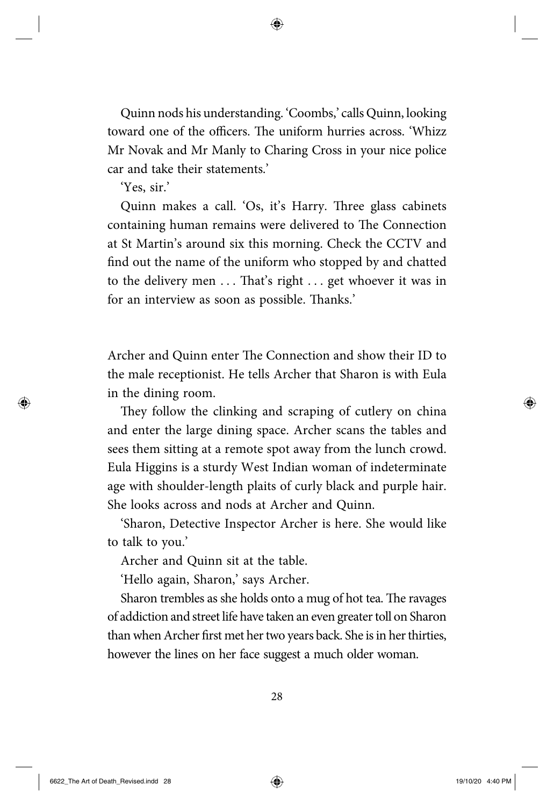Quinn nods his understanding. 'Coombs,' calls Quinn, looking toward one of the officers. The uniform hurries across. 'Whizz Mr Novak and Mr Manly to Charing Cross in your nice police car and take their statements.'

⊕

'Yes, sir.'

⊕

Quinn makes a call. 'Os, it's Harry. Three glass cabinets containing human remains were delivered to The Connection at St Martin's around six this morning. Check the CCTV and find out the name of the uniform who stopped by and chatted to the delivery men  $\dots$  That's right  $\dots$  get whoever it was in for an interview as soon as possible. Thanks.'

Archer and Quinn enter The Connection and show their ID to the male receptionist. He tells Archer that Sharon is with Eula in the dining room.

They follow the clinking and scraping of cutlery on china and enter the large dining space. Archer scans the tables and sees them sitting at a remote spot away from the lunch crowd. Eula Higgins is a sturdy West Indian woman of indeterminate age with shoulder-length plaits of curly black and purple hair. She looks across and nods at Archer and Quinn.

'Sharon, Detective Inspector Archer is here. She would like to talk to you.'

Archer and Quinn sit at the table.

'Hello again, Sharon,' says Archer.

Sharon trembles as she holds onto a mug of hot tea. The ravages of addiction and street life have taken an even greater toll on Sharon than when Archer first met her two years back. She is in her thirties, however the lines on her face suggest a much older woman.

6622\_The Art of Death\_Revised.indd 28 9/10/20 4:40 PM 9/10/20 4:40 PM 9/10/20 4:40 PM